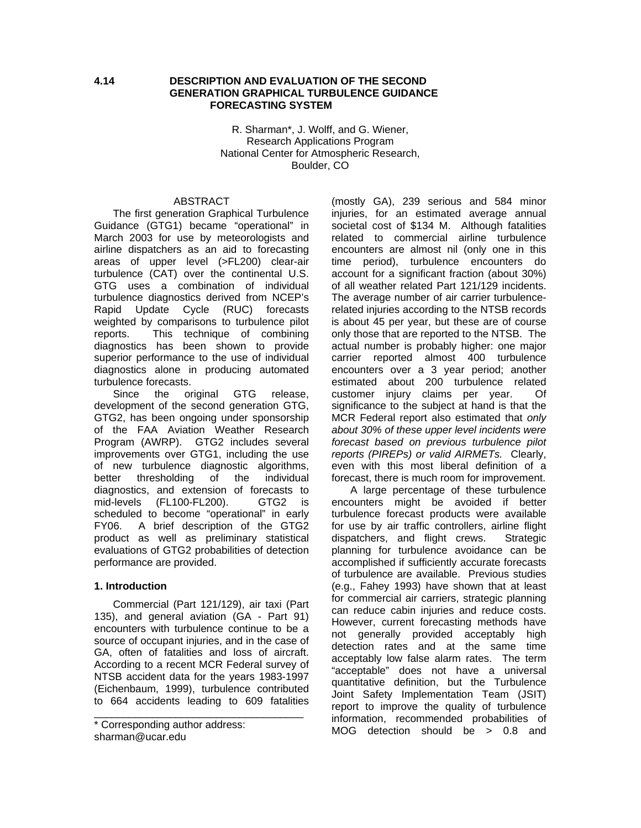#### **4.14 DESCRIPTION AND EVALUATION OF THE SECOND GENERATION GRAPHICAL TURBULENCE GUIDANCE FORECASTING SYSTEM**

R. Sharman\*, J. Wolff, and G. Wiener, Research Applications Program National Center for Atmospheric Research, Boulder, CO

#### ABSTRACT

The first generation Graphical Turbulence Guidance (GTG1) became "operational" in March 2003 for use by meteorologists and airline dispatchers as an aid to forecasting areas of upper level (>FL200) clear-air turbulence (CAT) over the continental U.S. GTG uses a combination of individual turbulence diagnostics derived from NCEP's Rapid Update Cycle (RUC) forecasts weighted by comparisons to turbulence pilot reports. This technique of combining diagnostics has been shown to provide superior performance to the use of individual diagnostics alone in producing automated turbulence forecasts.

Since the original GTG release, development of the second generation GTG, GTG2, has been ongoing under sponsorship of the FAA Aviation Weather Research Program (AWRP). GTG2 includes several improvements over GTG1, including the use of new turbulence diagnostic algorithms, better thresholding of the individual diagnostics, and extension of forecasts to mid-levels (FL100-FL200). GTG2 is scheduled to become "operational" in early FY06. A brief description of the GTG2 product as well as preliminary statistical evaluations of GTG2 probabilities of detection performance are provided.

#### **1. Introduction**

Commercial (Part 121/129), air taxi (Part 135), and general aviation (GA - Part 91) encounters with turbulence continue to be a source of occupant injuries, and in the case of GA, often of fatalities and loss of aircraft. According to a recent MCR Federal survey of NTSB accident data for the years 1983-1997 (Eichenbaum, 1999), turbulence contributed to 664 accidents leading to 609 fatalities

\_\_\_\_\_\_\_\_\_\_\_\_\_\_\_\_\_\_\_\_\_\_\_\_\_\_\_\_\_\_\_\_\_\_\_\_

(mostly GA), 239 serious and 584 minor injuries, for an estimated average annual societal cost of \$134 M. Although fatalities related to commercial airline turbulence encounters are almost nil (only one in this time period), turbulence encounters do account for a significant fraction (about 30%) of all weather related Part 121/129 incidents. The average number of air carrier turbulencerelated injuries according to the NTSB records is about 45 per year, but these are of course only those that are reported to the NTSB. The actual number is probably higher: one major carrier reported almost 400 turbulence encounters over a 3 year period; another estimated about 200 turbulence related customer injury claims per year. Of significance to the subject at hand is that the MCR Federal report also estimated that *only about 30% of these upper level incidents were forecast based on previous turbulence pilot reports (PIREPs) or valid AIRMETs.* Clearly, even with this most liberal definition of a forecast, there is much room for improvement.

A large percentage of these turbulence encounters might be avoided if better turbulence forecast products were available for use by air traffic controllers, airline flight dispatchers, and flight crews. Strategic planning for turbulence avoidance can be accomplished if sufficiently accurate forecasts of turbulence are available. Previous studies (e.g., Fahey 1993) have shown that at least for commercial air carriers, strategic planning can reduce cabin injuries and reduce costs. However, current forecasting methods have not generally provided acceptably high detection rates and at the same time acceptably low false alarm rates. The term "acceptable" does not have a universal quantitative definition, but the Turbulence Joint Safety Implementation Team (JSIT) report to improve the quality of turbulence information, recommended probabilities of MOG detection should be > 0.8 and

<sup>\*</sup> Corresponding author address: sharman@ucar.edu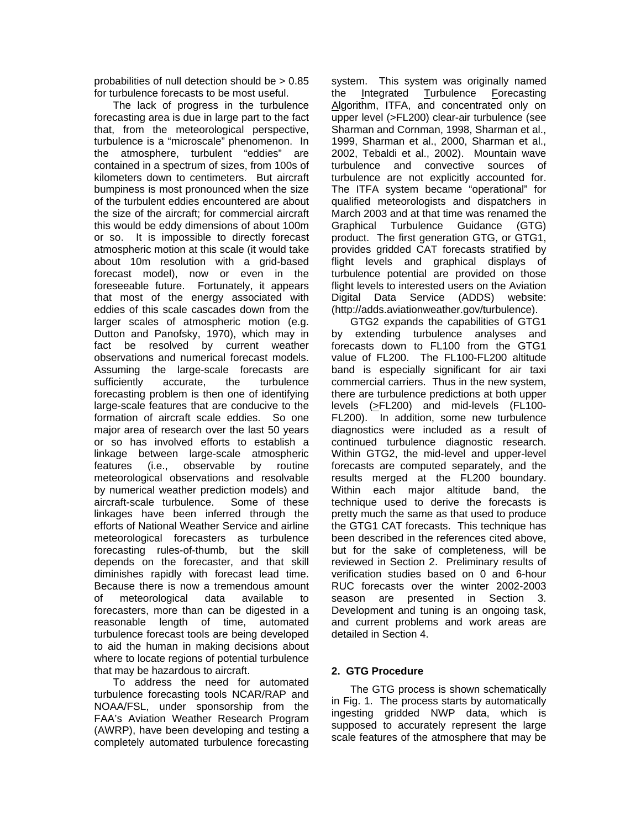probabilities of null detection should be > 0.85 for turbulence forecasts to be most useful.

The lack of progress in the turbulence forecasting area is due in large part to the fact that, from the meteorological perspective, turbulence is a "microscale" phenomenon. In the atmosphere, turbulent "eddies" are contained in a spectrum of sizes, from 100s of kilometers down to centimeters. But aircraft bumpiness is most pronounced when the size of the turbulent eddies encountered are about the size of the aircraft; for commercial aircraft this would be eddy dimensions of about 100m or so. It is impossible to directly forecast atmospheric motion at this scale (it would take about 10m resolution with a grid-based forecast model), now or even in the foreseeable future. Fortunately, it appears that most of the energy associated with eddies of this scale cascades down from the larger scales of atmospheric motion (e.g. Dutton and Panofsky, 1970), which may in fact be resolved by current weather observations and numerical forecast models. Assuming the large-scale forecasts are sufficiently accurate, the turbulence forecasting problem is then one of identifying large-scale features that are conducive to the formation of aircraft scale eddies. So one major area of research over the last 50 years or so has involved efforts to establish a linkage between large-scale atmospheric features (i.e., observable by routine meteorological observations and resolvable by numerical weather prediction models) and aircraft-scale turbulence. Some of these linkages have been inferred through the efforts of National Weather Service and airline meteorological forecasters as turbulence forecasting rules-of-thumb, but the skill depends on the forecaster, and that skill diminishes rapidly with forecast lead time. Because there is now a tremendous amount of meteorological data available to forecasters, more than can be digested in a reasonable length of time, automated turbulence forecast tools are being developed to aid the human in making decisions about where to locate regions of potential turbulence that may be hazardous to aircraft.

To address the need for automated turbulence forecasting tools NCAR/RAP and NOAA/FSL, under sponsorship from the FAA's Aviation Weather Research Program (AWRP), have been developing and testing a completely automated turbulence forecasting

system. This system was originally named the Integrated Turbulence Forecasting Algorithm, ITFA, and concentrated only on upper level (>FL200) clear-air turbulence (see Sharman and Cornman, 1998, Sharman et al., 1999, Sharman et al., 2000, Sharman et al., 2002, Tebaldi et al., 2002). Mountain wave turbulence and convective sources of turbulence are not explicitly accounted for. The ITFA system became "operational" for qualified meteorologists and dispatchers in March 2003 and at that time was renamed the Graphical Turbulence Guidance (GTG) product. The first generation GTG, or GTG1, provides gridded CAT forecasts stratified by flight levels and graphical displays of turbulence potential are provided on those flight levels to interested users on the Aviation Digital Data Service (ADDS) website: (http://adds.aviationweather.gov/turbulence).

GTG2 expands the capabilities of GTG1 by extending turbulence analyses and forecasts down to FL100 from the GTG1 value of FL200. The FL100-FL200 altitude band is especially significant for air taxi commercial carriers. Thus in the new system, there are turbulence predictions at both upper levels (>FL200) and mid-levels (FL100- FL200). In addition, some new turbulence diagnostics were included as a result of continued turbulence diagnostic research. Within GTG2, the mid-level and upper-level forecasts are computed separately, and the results merged at the FL200 boundary. Within each major altitude band, the technique used to derive the forecasts is pretty much the same as that used to produce the GTG1 CAT forecasts. This technique has been described in the references cited above, but for the sake of completeness, will be reviewed in Section 2. Preliminary results of verification studies based on 0 and 6-hour RUC forecasts over the winter 2002-2003 season are presented in Section 3. Development and tuning is an ongoing task, and current problems and work areas are detailed in Section 4.

## **2. GTG Procedure**

The GTG process is shown schematically in Fig. 1. The process starts by automatically ingesting gridded NWP data, which is supposed to accurately represent the large scale features of the atmosphere that may be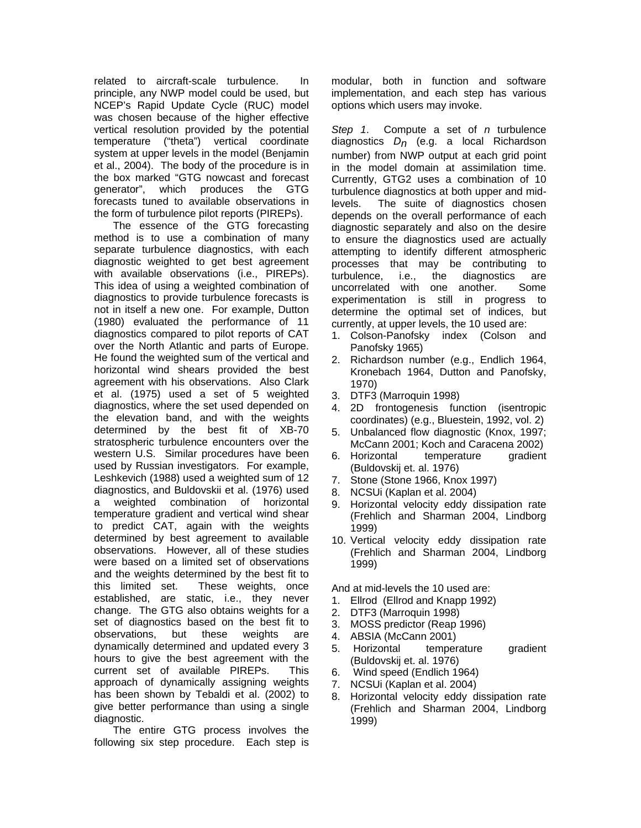related to aircraft-scale turbulence. In principle, any NWP model could be used, but NCEP's Rapid Update Cycle (RUC) model was chosen because of the higher effective vertical resolution provided by the potential temperature ("theta") vertical coordinate system at upper levels in the model (Benjamin et al., 2004). The body of the procedure is in the box marked "GTG nowcast and forecast generator", which produces the GTG forecasts tuned to available observations in the form of turbulence pilot reports (PIREPs).

The essence of the GTG forecasting method is to use a combination of many separate turbulence diagnostics, with each diagnostic weighted to get best agreement with available observations (i.e., PIREPs). This idea of using a weighted combination of diagnostics to provide turbulence forecasts is not in itself a new one. For example, Dutton (1980) evaluated the performance of 11 diagnostics compared to pilot reports of CAT over the North Atlantic and parts of Europe. He found the weighted sum of the vertical and horizontal wind shears provided the best agreement with his observations. Also Clark et al. (1975) used a set of 5 weighted diagnostics, where the set used depended on the elevation band, and with the weights determined by the best fit of XB-70 stratospheric turbulence encounters over the western U.S. Similar procedures have been used by Russian investigators. For example, Leshkevich (1988) used a weighted sum of 12 diagnostics, and Buldovskii et al. (1976) used a weighted combination of horizontal temperature gradient and vertical wind shear to predict CAT, again with the weights determined by best agreement to available observations. However, all of these studies were based on a limited set of observations and the weights determined by the best fit to this limited set. These weights, once established, are static, i.e., they never change. The GTG also obtains weights for a set of diagnostics based on the best fit to observations, but these weights are dynamically determined and updated every 3 hours to give the best agreement with the current set of available PIREPs. This approach of dynamically assigning weights has been shown by Tebaldi et al. (2002) to give better performance than using a single diagnostic.

The entire GTG process involves the following six step procedure. Each step is modular, both in function and software implementation, and each step has various options which users may invoke.

*Step 1*. Compute a set of *n* turbulence diagnostics *Dn* (e.g. a local Richardson number) from NWP output at each grid point in the model domain at assimilation time. Currently, GTG2 uses a combination of 10 turbulence diagnostics at both upper and midlevels. The suite of diagnostics chosen depends on the overall performance of each diagnostic separately and also on the desire to ensure the diagnostics used are actually attempting to identify different atmospheric processes that may be contributing to turbulence, i.e., the diagnostics are uncorrelated with one another. Some experimentation is still in progress to determine the optimal set of indices, but currently, at upper levels, the 10 used are:

- 1. Colson-Panofsky index (Colson and Panofsky 1965)
- 2. Richardson number (e.g., Endlich 1964, Kronebach 1964, Dutton and Panofsky, 1970)
- 3. DTF3 (Marroquin 1998)
- 4. 2D frontogenesis function (isentropic coordinates) (e.g., Bluestein, 1992, vol. 2)
- 5. Unbalanced flow diagnostic (Knox, 1997; McCann 2001; Koch and Caracena 2002)
- 6. Horizontal temperature gradient (Buldovskij et. al. 1976)
- 7. Stone (Stone 1966, Knox 1997)
- 8. NCSUi (Kaplan et al. 2004)
- 9. Horizontal velocity eddy dissipation rate (Frehlich and Sharman 2004, Lindborg 1999)
- 10. Vertical velocity eddy dissipation rate (Frehlich and Sharman 2004, Lindborg 1999)

And at mid-levels the 10 used are:

1. Ellrod (Ellrod and Knapp 1992)

- 2. DTF3 (Marroquin 1998)
- 3. MOSS predictor (Reap 1996)
- 4. ABSIA (McCann 2001)
- 5. Horizontal temperature gradient (Buldovskij et. al. 1976)
- 6. Wind speed (Endlich 1964)
- 7. NCSUi (Kaplan et al. 2004)
- 8. Horizontal velocity eddy dissipation rate (Frehlich and Sharman 2004, Lindborg 1999)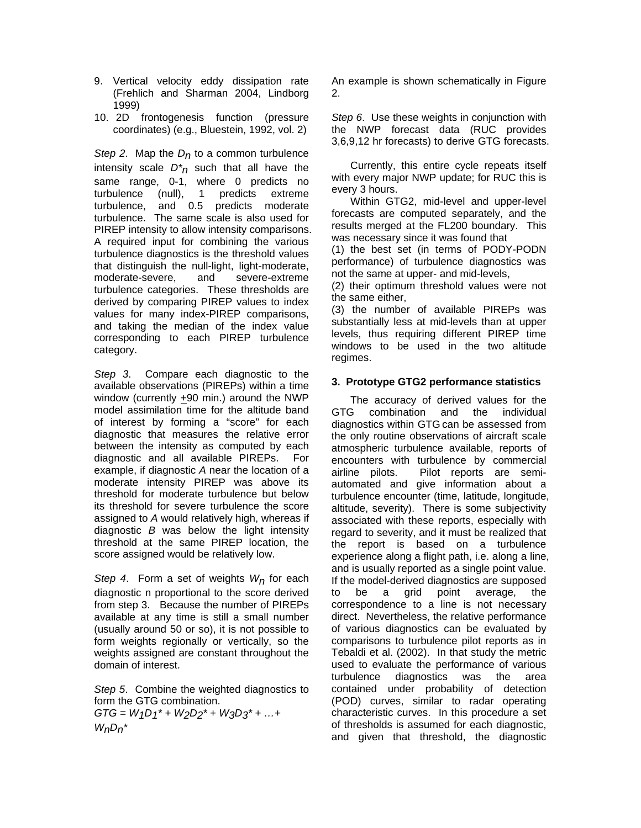- 9. Vertical velocity eddy dissipation rate (Frehlich and Sharman 2004, Lindborg 1999)
- 10. 2D frontogenesis function (pressure coordinates) (e.g., Bluestein, 1992, vol. 2)

*Step 2*. Map the *Dn* to a common turbulence intensity scale *D\*n* such that all have the same range, 0-1, where 0 predicts no turbulence (null), 1 predicts extreme turbulence, and 0.5 predicts moderate turbulence. The same scale is also used for PIREP intensity to allow intensity comparisons. A required input for combining the various turbulence diagnostics is the threshold values that distinguish the null-light, light-moderate, moderate-severe, and severe-extreme turbulence categories. These thresholds are derived by comparing PIREP values to index values for many index-PIREP comparisons, and taking the median of the index value corresponding to each PIREP turbulence category.

*Step 3*. Compare each diagnostic to the available observations (PIREPs) within a time window (currently +90 min.) around the NWP model assimilation time for the altitude band of interest by forming a "score" for each diagnostic that measures the relative error between the intensity as computed by each diagnostic and all available PIREPs. For example, if diagnostic *A* near the location of a moderate intensity PIREP was above its threshold for moderate turbulence but below its threshold for severe turbulence the score assigned to *A* would relatively high, whereas if diagnostic *B* was below the light intensity threshold at the same PIREP location, the score assigned would be relatively low.

*Step 4*. Form a set of weights *Wn* for each diagnostic n proportional to the score derived from step 3. Because the number of PIREPs available at any time is still a small number (usually around 50 or so), it is not possible to form weights regionally or vertically, so the weights assigned are constant throughout the domain of interest.

*Step 5*. Combine the weighted diagnostics to form the GTG combination.

*GTG = W1D1\* + W2D2\* + W3D3\* + …+ WnDn\** 

An example is shown schematically in Figure 2.

*Step 6*. Use these weights in conjunction with the NWP forecast data (RUC provides 3,6,9,12 hr forecasts) to derive GTG forecasts.

Currently, this entire cycle repeats itself with every major NWP update; for RUC this is every 3 hours.

Within GTG2, mid-level and upper-level forecasts are computed separately, and the results merged at the FL200 boundary. This was necessary since it was found that

(1) the best set (in terms of PODY-PODN performance) of turbulence diagnostics was not the same at upper- and mid-levels,

(2) their optimum threshold values were not the same either,

(3) the number of available PIREPs was substantially less at mid-levels than at upper levels, thus requiring different PIREP time windows to be used in the two altitude regimes.

## **3. Prototype GTG2 performance statistics**

The accuracy of derived values for the GTG combination and the individual diagnostics within GTG can be assessed from the only routine observations of aircraft scale atmospheric turbulence available, reports of encounters with turbulence by commercial airline pilots. Pilot reports are semiautomated and give information about a turbulence encounter (time, latitude, longitude, altitude, severity). There is some subjectivity associated with these reports, especially with regard to severity, and it must be realized that the report is based on a turbulence experience along a flight path, i.e. along a line, and is usually reported as a single point value. If the model-derived diagnostics are supposed to be a grid point average, the correspondence to a line is not necessary direct. Nevertheless, the relative performance of various diagnostics can be evaluated by comparisons to turbulence pilot reports as in Tebaldi et al. (2002). In that study the metric used to evaluate the performance of various turbulence diagnostics was the area contained under probability of detection (POD) curves, similar to radar operating characteristic curves. In this procedure a set of thresholds is assumed for each diagnostic, and given that threshold, the diagnostic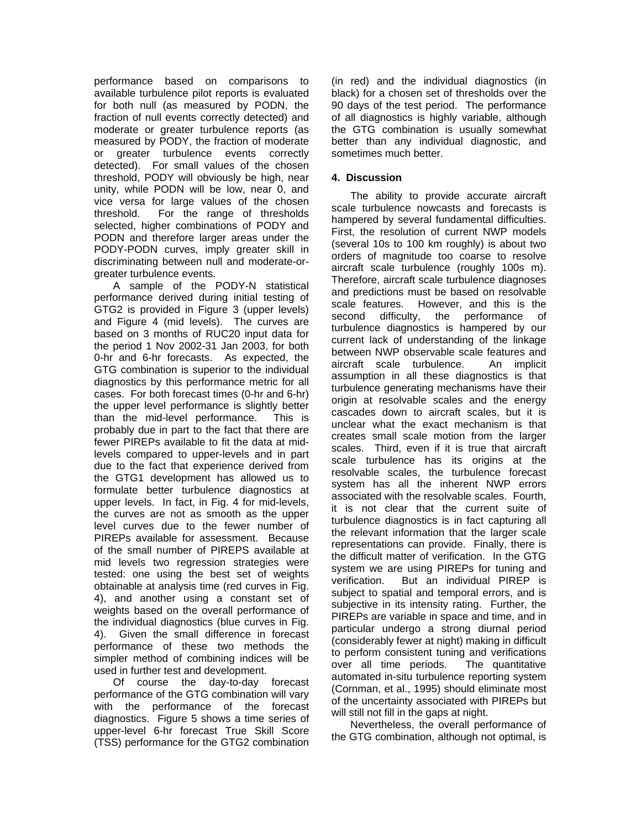performance based on comparisons to available turbulence pilot reports is evaluated for both null (as measured by PODN, the fraction of null events correctly detected) and moderate or greater turbulence reports (as measured by PODY, the fraction of moderate or greater turbulence events correctly detected). For small values of the chosen threshold, PODY will obviously be high, near unity, while PODN will be low, near 0, and vice versa for large values of the chosen threshold. For the range of thresholds selected, higher combinations of PODY and PODN and therefore larger areas under the PODY-PODN curves, imply greater skill in discriminating between null and moderate-orgreater turbulence events.

A sample of the PODY-N statistical performance derived during initial testing of GTG2 is provided in Figure 3 (upper levels) and Figure 4 (mid levels). The curves are based on 3 months of RUC20 input data for the period 1 Nov 2002-31 Jan 2003, for both 0-hr and 6-hr forecasts. As expected, the GTG combination is superior to the individual diagnostics by this performance metric for all cases. For both forecast times (0-hr and 6-hr) the upper level performance is slightly better than the mid-level performance. This is probably due in part to the fact that there are fewer PIREPs available to fit the data at midlevels compared to upper-levels and in part due to the fact that experience derived from the GTG1 development has allowed us to formulate better turbulence diagnostics at upper levels. In fact, in Fig. 4 for mid-levels, the curves are not as smooth as the upper level curves due to the fewer number of PIREPs available for assessment. Because of the small number of PIREPS available at mid levels two regression strategies were tested: one using the best set of weights obtainable at analysis time (red curves in Fig. 4), and another using a constant set of weights based on the overall performance of the individual diagnostics (blue curves in Fig. 4). Given the small difference in forecast performance of these two methods the simpler method of combining indices will be used in further test and development.

Of course the day-to-day forecast performance of the GTG combination will vary with the performance of the forecast diagnostics. Figure 5 shows a time series of upper-level 6-hr forecast True Skill Score (TSS) performance for the GTG2 combination

(in red) and the individual diagnostics (in black) for a chosen set of thresholds over the 90 days of the test period. The performance of all diagnostics is highly variable, although the GTG combination is usually somewhat better than any individual diagnostic, and sometimes much better.

## **4. Discussion**

The ability to provide accurate aircraft scale turbulence nowcasts and forecasts is hampered by several fundamental difficulties. First, the resolution of current NWP models (several 10s to 100 km roughly) is about two orders of magnitude too coarse to resolve aircraft scale turbulence (roughly 100s m). Therefore, aircraft scale turbulence diagnoses and predictions must be based on resolvable scale features. However, and this is the second difficulty, the performance of turbulence diagnostics is hampered by our current lack of understanding of the linkage between NWP observable scale features and aircraft scale turbulence. An implicit assumption in all these diagnostics is that turbulence generating mechanisms have their origin at resolvable scales and the energy cascades down to aircraft scales, but it is unclear what the exact mechanism is that creates small scale motion from the larger scales. Third, even if it is true that aircraft scale turbulence has its origins at the resolvable scales, the turbulence forecast system has all the inherent NWP errors associated with the resolvable scales. Fourth, it is not clear that the current suite of turbulence diagnostics is in fact capturing all the relevant information that the larger scale representations can provide. Finally, there is the difficult matter of verification. In the GTG system we are using PIREPs for tuning and<br>verification. But an individual PIREP is But an individual PIREP is subject to spatial and temporal errors, and is subjective in its intensity rating. Further, the PIREPs are variable in space and time, and in particular undergo a strong diurnal period (considerably fewer at night) making in difficult to perform consistent tuning and verifications over all time periods. The quantitative automated in-situ turbulence reporting system (Cornman, et al., 1995) should eliminate most of the uncertainty associated with PIREPs but will still not fill in the gaps at night.

Nevertheless, the overall performance of the GTG combination, although not optimal, is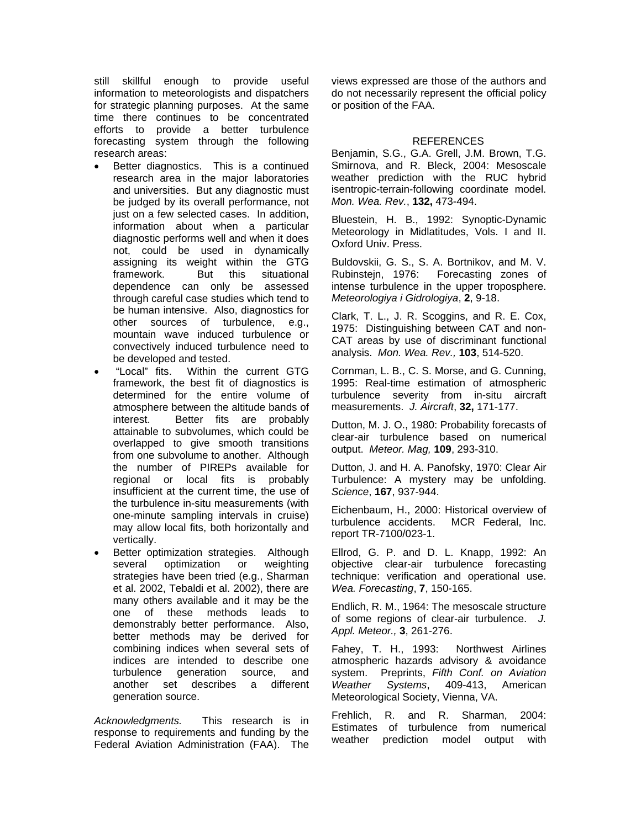still skillful enough to provide useful information to meteorologists and dispatchers for strategic planning purposes. At the same time there continues to be concentrated efforts to provide a better turbulence forecasting system through the following research areas:

- Better diagnostics. This is a continued research area in the major laboratories and universities. But any diagnostic must be judged by its overall performance, not just on a few selected cases. In addition, information about when a particular diagnostic performs well and when it does not, could be used in dynamically assigning its weight within the GTG framework. But this situational dependence can only be assessed through careful case studies which tend to be human intensive. Also, diagnostics for other sources of turbulence, e.g., mountain wave induced turbulence or convectively induced turbulence need to be developed and tested.
- "Local" fits. Within the current GTG framework, the best fit of diagnostics is determined for the entire volume of atmosphere between the altitude bands of interest. Better fits are probably attainable to subvolumes, which could be overlapped to give smooth transitions from one subvolume to another. Although the number of PIREPs available for regional or local fits is probably insufficient at the current time, the use of the turbulence in-situ measurements (with one-minute sampling intervals in cruise) may allow local fits, both horizontally and vertically.
- Better optimization strategies. Although several optimization or weighting strategies have been tried (e.g., Sharman et al. 2002, Tebaldi et al. 2002), there are many others available and it may be the one of these methods leads to demonstrably better performance. Also, better methods may be derived for combining indices when several sets of indices are intended to describe one turbulence generation source, and another set describes a different generation source.

*Acknowledgments.* This research is in response to requirements and funding by the Federal Aviation Administration (FAA). The views expressed are those of the authors and do not necessarily represent the official policy or position of the FAA.

# REFERENCES

Benjamin, S.G., G.A. Grell, J.M. Brown, T.G. Smirnova, and R. Bleck, 2004: Mesoscale weather prediction with the RUC hybrid isentropic-terrain-following coordinate model. *Mon. Wea. Rev.*, **132,** 473-494.

Bluestein, H. B., 1992: Synoptic-Dynamic Meteorology in Midlatitudes, Vols. I and II. Oxford Univ. Press.

Buldovskii, G. S., S. A. Bortnikov, and M. V. Rubinstejn, 1976: Forecasting zones of intense turbulence in the upper troposphere. *Meteorologiya i Gidrologiya*, **2**, 9-18.

Clark, T. L., J. R. Scoggins, and R. E. Cox, 1975: Distinguishing between CAT and non-CAT areas by use of discriminant functional analysis. *Mon. Wea. Rev.,* **103**, 514-520.

Cornman, L. B., C. S. Morse, and G. Cunning, 1995: Real-time estimation of atmospheric turbulence severity from in-situ aircraft measurements. *J. Aircraft*, **32,** 171-177.

Dutton, M. J. O., 1980: Probability forecasts of clear-air turbulence based on numerical output. *Meteor. Mag,* **109**, 293-310.

Dutton, J. and H. A. Panofsky, 1970: Clear Air Turbulence: A mystery may be unfolding. *Science*, **167**, 937-944.

Eichenbaum, H., 2000: Historical overview of turbulence accidents. MCR Federal, Inc. report TR-7100/023-1.

Ellrod, G. P. and D. L. Knapp, 1992: An objective clear-air turbulence forecasting technique: verification and operational use. *Wea. Forecasting*, **7**, 150-165.

Endlich, R. M., 1964: The mesoscale structure of some regions of clear-air turbulence. *J. Appl. Meteor.,* **3**, 261-276.

Fahey, T. H., 1993: Northwest Airlines atmospheric hazards advisory & avoidance system. Preprints, *Fifth Conf. on Aviation Weather Systems*, 409-413, American Meteorological Society, Vienna, VA.

Frehlich, R. and R. Sharman, 2004: Estimates of turbulence from numerical weather prediction model output with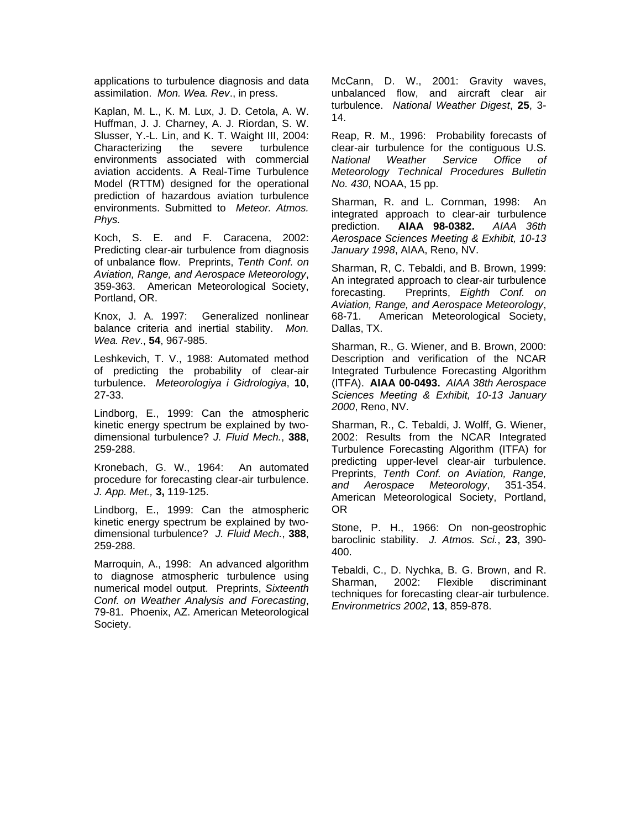applications to turbulence diagnosis and data assimilation. *Mon. Wea. Rev*., in press.

Kaplan, M. L., K. M. Lux, J. D. Cetola, A. W. Huffman, J. J. Charney, A. J. Riordan, S. W. Slusser, Y.-L. Lin, and K. T. Waight III, 2004: Characterizing the severe turbulence environments associated with commercial aviation accidents. A Real-Time Turbulence Model (RTTM) designed for the operational prediction of hazardous aviation turbulence environments. Submitted to *Meteor. Atmos. Phys.*

Koch, S. E. and F. Caracena, 2002: Predicting clear-air turbulence from diagnosis of unbalance flow. Preprints, *Tenth Conf. on Aviation, Range, and Aerospace Meteorology*, 359-363. American Meteorological Society, Portland, OR.

Knox, J. A. 1997: Generalized nonlinear balance criteria and inertial stability. *Mon. Wea. Rev*., **54**, 967-985.

Leshkevich, T. V., 1988: Automated method of predicting the probability of clear-air turbulence. *Meteorologiya i Gidrologiya*, **10**, 27-33.

Lindborg, E., 1999: Can the atmospheric kinetic energy spectrum be explained by twodimensional turbulence? *J. Fluid Mech.*, **388**, 259-288.

Kronebach, G. W., 1964: An automated procedure for forecasting clear-air turbulence. *J. App. Met.,* **3,** 119-125.

Lindborg, E., 1999: Can the atmospheric kinetic energy spectrum be explained by twodimensional turbulence? *J. Fluid Mech.*, **388**, 259-288.

Marroquin, A., 1998: An advanced algorithm to diagnose atmospheric turbulence using numerical model output. Preprints, *Sixteenth Conf. on Weather Analysis and Forecasting*, 79-81. Phoenix, AZ. American Meteorological Society.

McCann, D. W., 2001: Gravity waves, unbalanced flow, and aircraft clear air turbulence. *National Weather Digest*, **25**, 3- 14.

Reap, R. M., 1996: Probability forecasts of clear-air turbulence for the contiguous U.S*. National Weather Service Office of Meteorology Technical Procedures Bulletin No. 430*, NOAA, 15 pp.

Sharman, R. and L. Cornman, 1998: An integrated approach to clear-air turbulence prediction. **AIAA 98-0382.** *AIAA 36th Aerospace Sciences Meeting & Exhibit, 10-13 January 1998*, AIAA, Reno, NV.

Sharman, R, C. Tebaldi, and B. Brown, 1999: An integrated approach to clear-air turbulence forecasting. Preprints, *Eighth Conf. on Aviation, Range, and Aerospace Meteorology*, 68-71. American Meteorological Society, Dallas, TX.

Sharman, R., G. Wiener, and B. Brown, 2000: Description and verification of the NCAR Integrated Turbulence Forecasting Algorithm (ITFA). **AIAA 00-0493.** *AIAA 38th Aerospace Sciences Meeting & Exhibit, 10-13 January 2000*, Reno, NV.

Sharman, R., C. Tebaldi, J. Wolff, G. Wiener, 2002: Results from the NCAR Integrated Turbulence Forecasting Algorithm (ITFA) for predicting upper-level clear-air turbulence. Preprints, *Tenth Conf. on Aviation, Range, and Aerospace Meteorology*, 351-354. American Meteorological Society, Portland, OR

Stone, P. H., 1966: On non-geostrophic baroclinic stability. *J. Atmos. Sci.*, **23**, 390- 400.

Tebaldi, C., D. Nychka, B. G. Brown, and R. Sharman, 2002: Flexible discriminant techniques for forecasting clear-air turbulence. *Environmetrics 2002*, **13**, 859-878.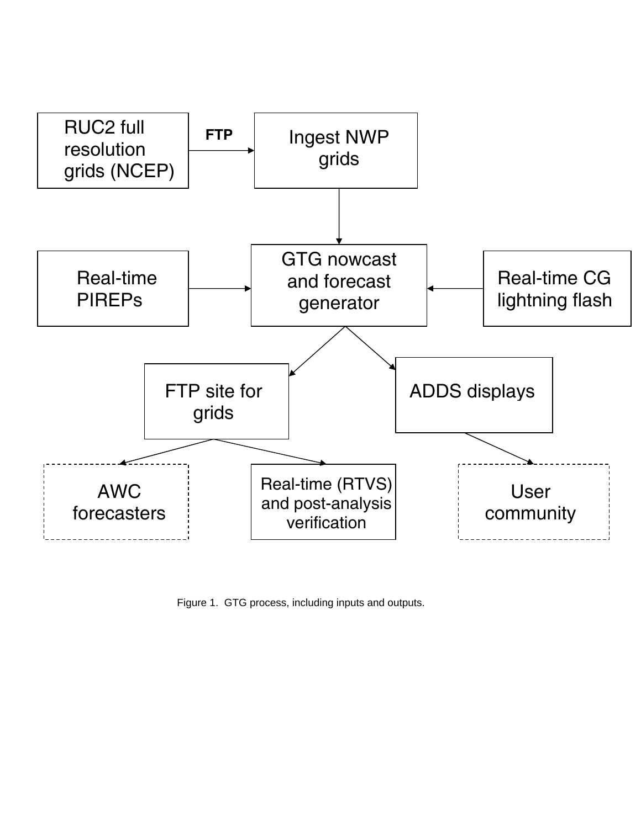

Figure 1. GTG process, including inputs and outputs.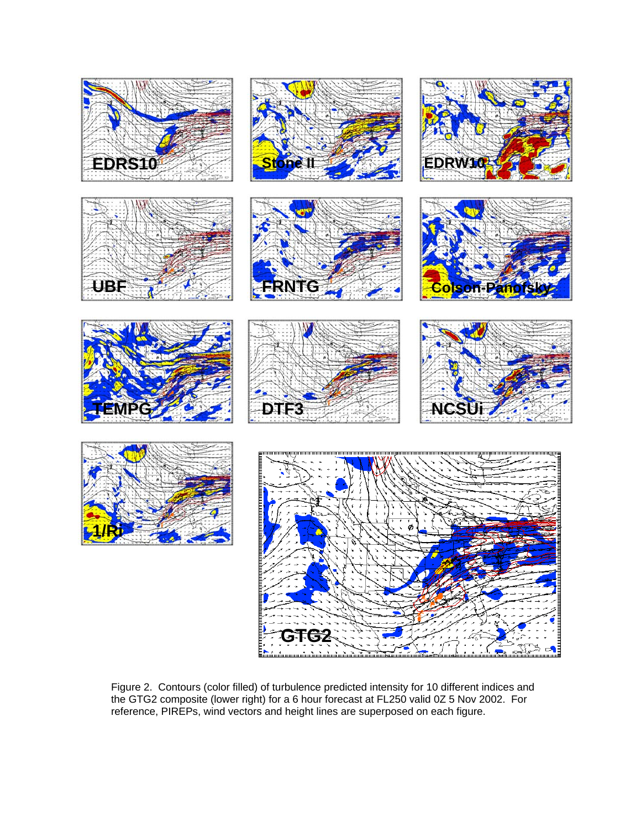

Figure 2. Contours (color filled) of turbulence predicted intensity for 10 different indices and the GTG2 composite (lower right) for a 6 hour forecast at FL250 valid 0Z 5 Nov 2002. For reference, PIREPs, wind vectors and height lines are superposed on each figure.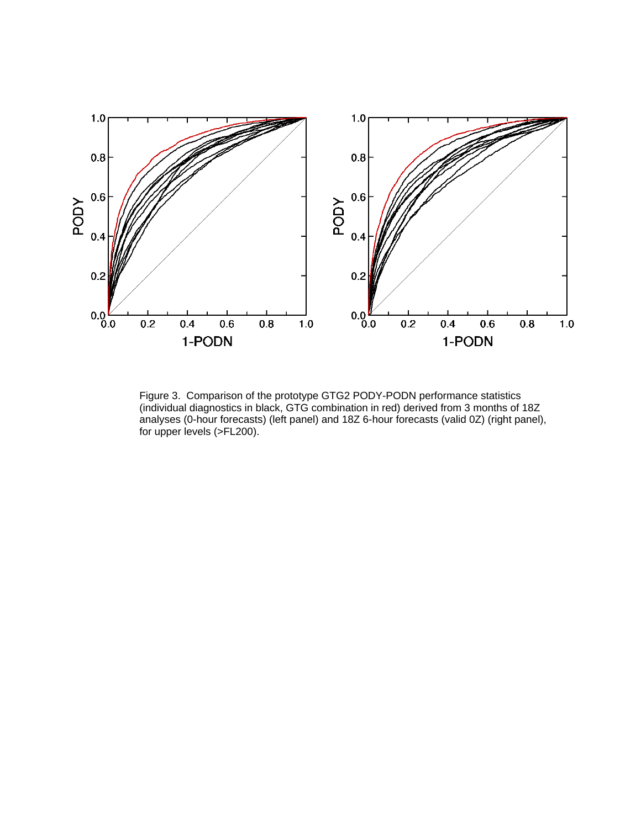

Figure 3. Comparison of the prototype GTG2 PODY-PODN performance statistics (individual diagnostics in black, GTG combination in red) derived from 3 months of 18Z analyses (0-hour forecasts) (left panel) and 18Z 6-hour forecasts (valid 0Z) (right panel), for upper levels (>FL200).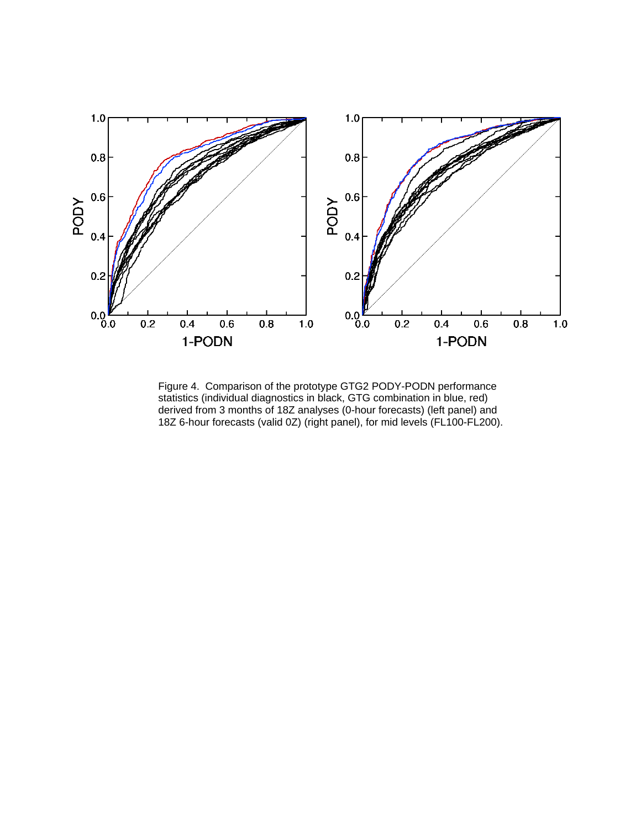

Figure 4. Comparison of the prototype GTG2 PODY-PODN performance statistics (individual diagnostics in black, GTG combination in blue, red) derived from 3 months of 18Z analyses (0-hour forecasts) (left panel) and 18Z 6-hour forecasts (valid 0Z) (right panel), for mid levels (FL100-FL200).